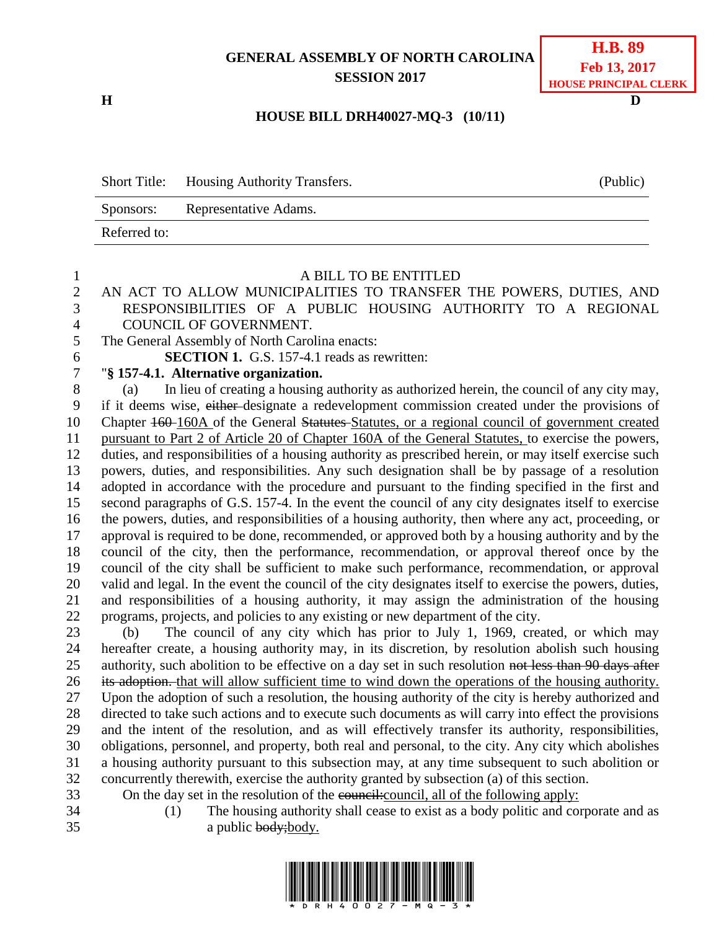## **GENERAL ASSEMBLY OF NORTH CAROLINA SESSION 2017**

## **H.B. 89 Feb 13, 2017 HOUSE PRINCIPAL CLERK**

## **HOUSE BILL DRH40027-MQ-3 (10/11)**

|              | Short Title: Housing Authority Transfers. | (Public) |
|--------------|-------------------------------------------|----------|
| Sponsors:    | Representative Adams.                     |          |
| Referred to: |                                           |          |

| 1                    | A BILL TO BE ENTITLED                                                                                                                                                          |
|----------------------|--------------------------------------------------------------------------------------------------------------------------------------------------------------------------------|
| $\overline{2}$       | AN ACT TO ALLOW MUNICIPALITIES TO TRANSFER THE POWERS, DUTIES, AND                                                                                                             |
| 3                    | RESPONSIBILITIES OF A PUBLIC HOUSING AUTHORITY TO A REGIONAL                                                                                                                   |
| $\overline{4}$       | COUNCIL OF GOVERNMENT.                                                                                                                                                         |
| 5                    | The General Assembly of North Carolina enacts:                                                                                                                                 |
| 6                    | <b>SECTION 1.</b> G.S. 157-4.1 reads as rewritten:                                                                                                                             |
| $\overline{7}$       | "§ 157-4.1. Alternative organization.                                                                                                                                          |
| $8\,$                | In lieu of creating a housing authority as authorized herein, the council of any city may,<br>(a)                                                                              |
| 9                    | if it deems wise, either-designate a redevelopment commission created under the provisions of                                                                                  |
| 10                   | Chapter 160–160A of the General Statures–Statures, or a regional council of government created                                                                                 |
| 11                   | pursuant to Part 2 of Article 20 of Chapter 160A of the General Statutes, to exercise the powers,                                                                              |
| 12                   | duties, and responsibilities of a housing authority as prescribed herein, or may itself exercise such                                                                          |
| 13                   | powers, duties, and responsibilities. Any such designation shall be by passage of a resolution                                                                                 |
| 14                   | adopted in accordance with the procedure and pursuant to the finding specified in the first and                                                                                |
| 15                   | second paragraphs of G.S. 157-4. In the event the council of any city designates itself to exercise                                                                            |
| 16                   | the powers, duties, and responsibilities of a housing authority, then where any act, proceeding, or                                                                            |
| 17                   | approval is required to be done, recommended, or approved both by a housing authority and by the                                                                               |
| 18                   | council of the city, then the performance, recommendation, or approval thereof once by the                                                                                     |
| 19                   | council of the city shall be sufficient to make such performance, recommendation, or approval                                                                                  |
| 20                   | valid and legal. In the event the council of the city designates itself to exercise the powers, duties,                                                                        |
| 21                   | and responsibilities of a housing authority, it may assign the administration of the housing                                                                                   |
| 22                   | programs, projects, and policies to any existing or new department of the city.                                                                                                |
| 23                   | The council of any city which has prior to July 1, 1969, created, or which may<br>(b)                                                                                          |
| 24                   | hereafter create, a housing authority may, in its discretion, by resolution abolish such housing                                                                               |
| 25                   | authority, such abolition to be effective on a day set in such resolution not less than 90 days after                                                                          |
| 26                   | its adoption. that will allow sufficient time to wind down the operations of the housing authority.                                                                            |
| 27                   | Upon the adoption of such a resolution, the housing authority of the city is hereby authorized and                                                                             |
| 28                   | directed to take such actions and to execute such documents as will carry into effect the provisions                                                                           |
| 29                   | and the intent of the resolution, and as will effectively transfer its authority, responsibilities,                                                                            |
| 30                   | obligations, personnel, and property, both real and personal, to the city. Any city which abolishes                                                                            |
| 31                   | a housing authority pursuant to this subsection may, at any time subsequent to such abolition or                                                                               |
| 32                   | concurrently therewith, exercise the authority granted by subsection (a) of this section.                                                                                      |
| 33<br>2 <sub>1</sub> | On the day set in the resolution of the council: council, all of the following apply:<br>$(1)$ The housing outhority shall cases to exist as a hody politic and corners and as |

- 
- (1) The housing authority shall cease to exist as a body politic and corporate and as 35 a public body; body.

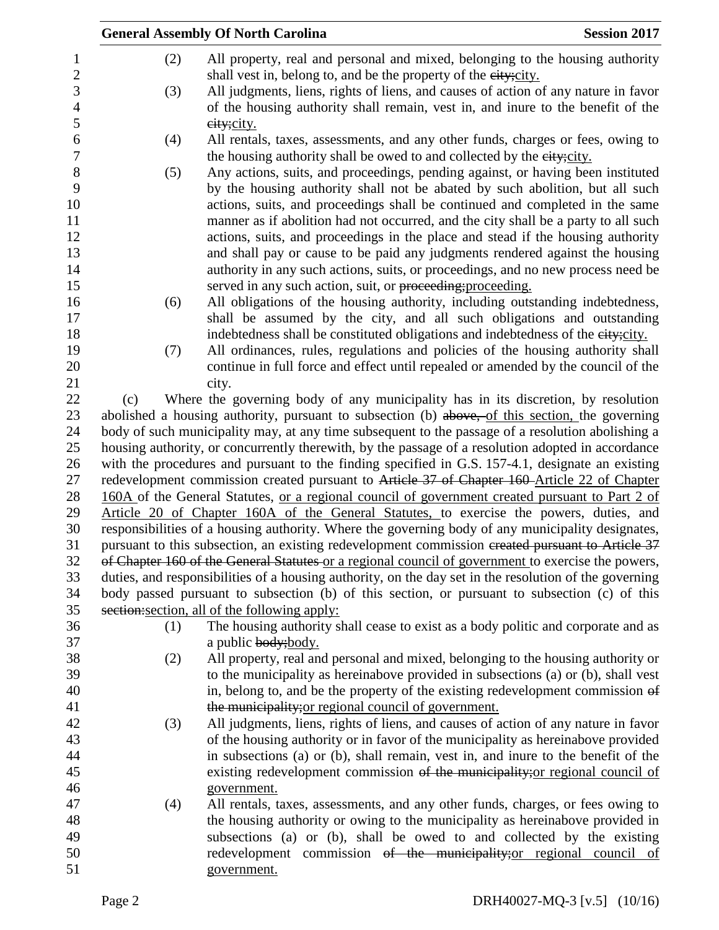|     |     | <b>General Assembly Of North Carolina</b>                                                                                                                             | <b>Session 2017</b> |
|-----|-----|-----------------------------------------------------------------------------------------------------------------------------------------------------------------------|---------------------|
|     | (2) | All property, real and personal and mixed, belonging to the housing authority                                                                                         |                     |
|     |     | shall vest in, belong to, and be the property of the eity; city.                                                                                                      |                     |
|     | (3) | All judgments, liens, rights of liens, and causes of action of any nature in favor                                                                                    |                     |
|     |     | of the housing authority shall remain, vest in, and inure to the benefit of the                                                                                       |                     |
|     |     | eity; city.                                                                                                                                                           |                     |
|     | (4) | All rentals, taxes, assessments, and any other funds, charges or fees, owing to                                                                                       |                     |
|     |     | the housing authority shall be owed to and collected by the eity; city.                                                                                               |                     |
|     | (5) | Any actions, suits, and proceedings, pending against, or having been instituted                                                                                       |                     |
|     |     | by the housing authority shall not be abated by such abolition, but all such                                                                                          |                     |
|     |     | actions, suits, and proceedings shall be continued and completed in the same                                                                                          |                     |
|     |     | manner as if abolition had not occurred, and the city shall be a party to all such                                                                                    |                     |
|     |     | actions, suits, and proceedings in the place and stead if the housing authority                                                                                       |                     |
|     |     | and shall pay or cause to be paid any judgments rendered against the housing                                                                                          |                     |
|     |     | authority in any such actions, suits, or proceedings, and no new process need be                                                                                      |                     |
|     |     | served in any such action, suit, or proceeding; proceeding.                                                                                                           |                     |
|     | (6) | All obligations of the housing authority, including outstanding indebtedness,                                                                                         |                     |
|     |     | shall be assumed by the city, and all such obligations and outstanding                                                                                                |                     |
|     |     | indebtedness shall be constituted obligations and indebtedness of the eity; city.                                                                                     |                     |
|     | (7) | All ordinances, rules, regulations and policies of the housing authority shall                                                                                        |                     |
|     |     | continue in full force and effect until repealed or amended by the council of the                                                                                     |                     |
|     |     | city.                                                                                                                                                                 |                     |
| (c) |     | Where the governing body of any municipality has in its discretion, by resolution                                                                                     |                     |
|     |     | abolished a housing authority, pursuant to subsection (b) above, of this section, the governing                                                                       |                     |
|     |     | body of such municipality may, at any time subsequent to the passage of a resolution abolishing a                                                                     |                     |
|     |     | housing authority, or concurrently therewith, by the passage of a resolution adopted in accordance                                                                    |                     |
|     |     | with the procedures and pursuant to the finding specified in G.S. 157-4.1, designate an existing                                                                      |                     |
|     |     | redevelopment commission created pursuant to Article 37 of Chapter 160 Article 22 of Chapter                                                                          |                     |
|     |     | 160A of the General Statutes, <u>or a regional council of government created pursuant to Part 2 of</u>                                                                |                     |
|     |     | Article 20 of Chapter 160A of the General Statutes, to exercise the powers, duties, and                                                                               |                     |
|     |     | responsibilities of a housing authority. Where the governing body of any municipality designates,                                                                     |                     |
|     |     | pursuant to this subsection, an existing redevelopment commission created pursuant to Article 37                                                                      |                     |
|     |     | of Chapter 160 of the General Statutes or a regional council of government to exercise the powers,                                                                    |                     |
|     |     | duties, and responsibilities of a housing authority, on the day set in the resolution of the governing                                                                |                     |
|     |     | body passed pursuant to subsection (b) of this section, or pursuant to subsection (c) of this                                                                         |                     |
|     |     | section: section, all of the following apply:                                                                                                                         |                     |
|     | (1) | The housing authority shall cease to exist as a body politic and corporate and as                                                                                     |                     |
|     |     | a public body; body.                                                                                                                                                  |                     |
|     | (2) | All property, real and personal and mixed, belonging to the housing authority or                                                                                      |                     |
|     |     | to the municipality as hereinabove provided in subsections (a) or (b), shall vest                                                                                     |                     |
|     |     | in, belong to, and be the property of the existing redevelopment commission of                                                                                        |                     |
|     |     | the municipality; or regional council of government.                                                                                                                  |                     |
|     | (3) | All judgments, liens, rights of liens, and causes of action of any nature in favor                                                                                    |                     |
|     |     | of the housing authority or in favor of the municipality as hereinabove provided<br>in subsections (a) or (b), shall remain, vest in, and inure to the benefit of the |                     |
|     |     | existing redevelopment commission of the municipality; or regional council of                                                                                         |                     |
|     |     | government.                                                                                                                                                           |                     |
|     | (4) | All rentals, taxes, assessments, and any other funds, charges, or fees owing to                                                                                       |                     |
|     |     | the housing authority or owing to the municipality as hereinabove provided in                                                                                         |                     |
|     |     | subsections (a) or (b), shall be owed to and collected by the existing                                                                                                |                     |
|     |     | redevelopment commission of the municipality; or regional council of                                                                                                  |                     |
|     |     | government.                                                                                                                                                           |                     |
|     |     |                                                                                                                                                                       |                     |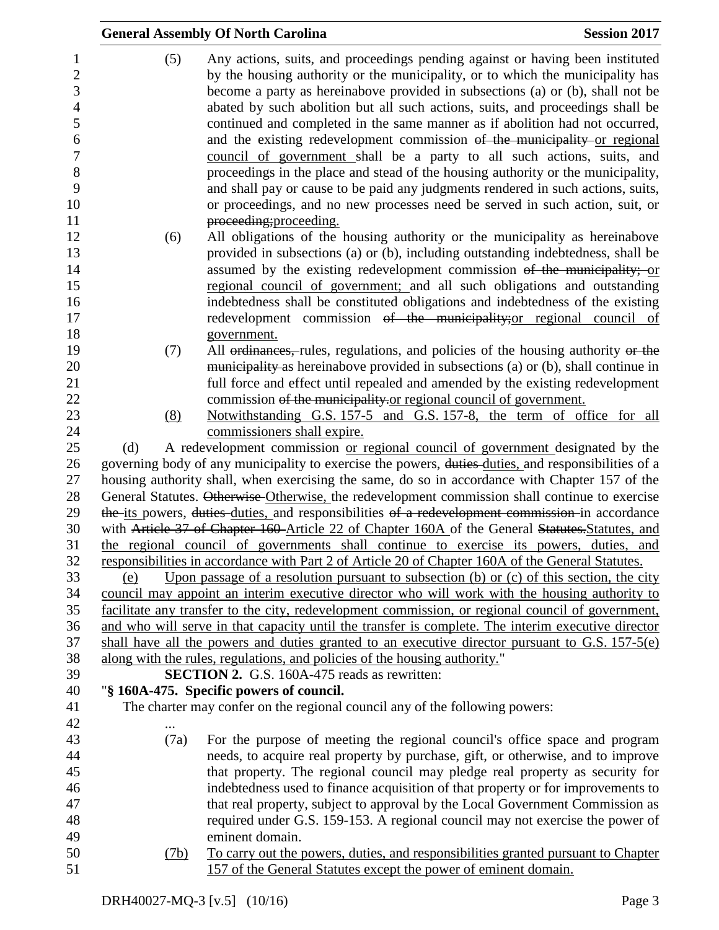|                                                            |      | <b>General Assembly Of North Carolina</b>                                                                                                                                                                                                                                                                                                                                                                           | <b>Session 2017</b> |
|------------------------------------------------------------|------|---------------------------------------------------------------------------------------------------------------------------------------------------------------------------------------------------------------------------------------------------------------------------------------------------------------------------------------------------------------------------------------------------------------------|---------------------|
| $\mathbf{1}$<br>$\overline{c}$<br>3<br>$\overline{4}$<br>5 | (5)  | Any actions, suits, and proceedings pending against or having been instituted<br>by the housing authority or the municipality, or to which the municipality has<br>become a party as hereinabove provided in subsections (a) or (b), shall not be<br>abated by such abolition but all such actions, suits, and proceedings shall be<br>continued and completed in the same manner as if abolition had not occurred, |                     |
| 6<br>$\overline{7}$<br>8<br>9                              |      | and the existing redevelopment commission of the municipality or regional<br>council of government shall be a party to all such actions, suits, and<br>proceedings in the place and stead of the housing authority or the municipality,<br>and shall pay or cause to be paid any judgments rendered in such actions, suits,                                                                                         |                     |
| 10<br>11<br>12                                             |      | or proceedings, and no new processes need be served in such action, suit, or<br>proceeding; proceeding.                                                                                                                                                                                                                                                                                                             |                     |
| 13                                                         | (6)  | All obligations of the housing authority or the municipality as hereinabove<br>provided in subsections (a) or (b), including outstanding indebtedness, shall be                                                                                                                                                                                                                                                     |                     |
| 14<br>15<br>16                                             |      | assumed by the existing redevelopment commission of the municipality; or<br>regional council of government; and all such obligations and outstanding<br>indebtedness shall be constituted obligations and indebtedness of the existing                                                                                                                                                                              |                     |
| 17<br>18                                                   |      | redevelopment commission of the municipality; or regional council of<br>government.                                                                                                                                                                                                                                                                                                                                 |                     |
| 19<br>20<br>21                                             | (7)  | All ordinances, rules, regulations, and policies of the housing authority or the<br>municipality as hereinabove provided in subsections (a) or (b), shall continue in<br>full force and effect until repealed and amended by the existing redevelopment                                                                                                                                                             |                     |
| 22<br>23                                                   | (8)  | commission of the municipality or regional council of government.<br>Notwithstanding G.S. 157-5 and G.S. 157-8, the term of office for all                                                                                                                                                                                                                                                                          |                     |
| 24<br>25                                                   | (d)  | commissioners shall expire.<br>A redevelopment commission or regional council of government designated by the                                                                                                                                                                                                                                                                                                       |                     |
| 26                                                         |      | governing body of any municipality to exercise the powers, duties-duties, and responsibilities of a                                                                                                                                                                                                                                                                                                                 |                     |
| 27                                                         |      | housing authority shall, when exercising the same, do so in accordance with Chapter 157 of the                                                                                                                                                                                                                                                                                                                      |                     |
| 28                                                         |      | General Statutes. Otherwise Otherwise, the redevelopment commission shall continue to exercise                                                                                                                                                                                                                                                                                                                      |                     |
| 29<br>30                                                   |      | the its powers, duties duties, and responsibilities of a redevelopment commission in accordance                                                                                                                                                                                                                                                                                                                     |                     |
| 31                                                         |      | with Article 37 of Chapter 160 Article 22 of Chapter 160A of the General Statutes Statutes, and<br>the regional council of governments shall continue to exercise its powers, duties, and                                                                                                                                                                                                                           |                     |
| 32                                                         |      | responsibilities in accordance with Part 2 of Article 20 of Chapter 160A of the General Statutes.                                                                                                                                                                                                                                                                                                                   |                     |
| 33                                                         | (e)  | Upon passage of a resolution pursuant to subsection $(b)$ or $(c)$ of this section, the city                                                                                                                                                                                                                                                                                                                        |                     |
| 34                                                         |      | council may appoint an interim executive director who will work with the housing authority to                                                                                                                                                                                                                                                                                                                       |                     |
| 35                                                         |      | facilitate any transfer to the city, redevelopment commission, or regional council of government,                                                                                                                                                                                                                                                                                                                   |                     |
| 36                                                         |      | and who will serve in that capacity until the transfer is complete. The interim executive director                                                                                                                                                                                                                                                                                                                  |                     |
| 37                                                         |      | shall have all the powers and duties granted to an executive director pursuant to G.S. 157-5(e)                                                                                                                                                                                                                                                                                                                     |                     |
| 38                                                         |      | along with the rules, regulations, and policies of the housing authority."                                                                                                                                                                                                                                                                                                                                          |                     |
| 39                                                         |      | <b>SECTION 2.</b> G.S. 160A-475 reads as rewritten:                                                                                                                                                                                                                                                                                                                                                                 |                     |
| 40                                                         |      | "§ 160A-475. Specific powers of council.                                                                                                                                                                                                                                                                                                                                                                            |                     |
| 41                                                         |      | The charter may confer on the regional council any of the following powers:                                                                                                                                                                                                                                                                                                                                         |                     |
| 42                                                         |      |                                                                                                                                                                                                                                                                                                                                                                                                                     |                     |
| 43                                                         | (7a) | For the purpose of meeting the regional council's office space and program                                                                                                                                                                                                                                                                                                                                          |                     |
| 44                                                         |      | needs, to acquire real property by purchase, gift, or otherwise, and to improve                                                                                                                                                                                                                                                                                                                                     |                     |
| 45                                                         |      | that property. The regional council may pledge real property as security for                                                                                                                                                                                                                                                                                                                                        |                     |
| 46                                                         |      | indebtedness used to finance acquisition of that property or for improvements to                                                                                                                                                                                                                                                                                                                                    |                     |
| 47<br>48                                                   |      | that real property, subject to approval by the Local Government Commission as<br>required under G.S. 159-153. A regional council may not exercise the power of                                                                                                                                                                                                                                                      |                     |
| 49                                                         |      | eminent domain.                                                                                                                                                                                                                                                                                                                                                                                                     |                     |
| 50                                                         | (7b) | To carry out the powers, duties, and responsibilities granted pursuant to Chapter                                                                                                                                                                                                                                                                                                                                   |                     |
| 51                                                         |      | 157 of the General Statutes except the power of eminent domain.                                                                                                                                                                                                                                                                                                                                                     |                     |